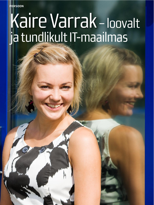PERSOON

# Kaire Varrak - loovalt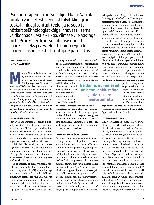Psühhoterapeut ja personalijuht Kaire Varrak on alati värsketest ideedest tulvil. Midagi on teoksil, midagi tehtud, teelolijana seob ta nõtkelt psühholoogiat kõige innovaatilisema valdkonnaga Eestis - IT-ga. Viimase viie aastaga on ta Proeksperdi personali kasvatanud kahekordseks ja vestelnud tööintervjuudel suurema osaga Eesti IT-töötajate paremikust.

**TEKST: TIINA SAAR FOTOD: MEELI KÜTTIM** 

inu kokkupuude Kairega saab alguse palju varem kui seesinane intervjuu. Siis oli aasta 2004 ja tegevuskohaks värbamisfirma CV-Online'i koosolekuruum, kus me müügijuhiks pürgivaid kandidaate intervjueerisime. Olime seda koos õhinal ette valmistanud ja tundus, et õnnestunult, sest ruumis oli kuhjaga sünergiat, sai naerda, oli põnev ja lõpuks eraldusid ka terad sõkaldest. Vahepeal on Kaire tööalane teekond teinud läbi huvitavaid käänakuid ja mul on au olla kuulaja ja ülestähendaja rollis.

### LEIUTAJA USKU HEA NÕID

Vaevalt leidub inimesi, kes teaksid kindlalt juba väikesest peale, et soovivad ühel hetkel töötada IT-firmas personalijuhina. Kuid Kaire lapsepõlvest võib leida märke, et just selline eneseteostus sobib tema ellu. Ta mäletab, et armastas lapsena organiseerida mänge, oli sõbralik, avatud ja tulvil ideid. "Ma võisin teisi oma mõtetega kaasa haarata, koguda enda ümber mõnusa seltskonna, võib-olla seostub see võimega värvata inimesi, meelitada neid ettevõttesse ühe eesmärgi nimel tegutsema," arutleb Kaire.

Ta ei mäleta, et oleks väiksena mõtisklenud mõnest konkreetsest unelmate ametist nagu baleriin või juuksur, küll aga unistas ta saada heaks nõiaks. Selliseks muinasjutunõiaks, kes suudab asju korda teha, imesid korda saata. Veel tahtis ta saada leiutajaks, sest tundus pööraselt huvitav mõelda välja uusi asju. Kaire sõnul on ta paljuski kodust kaasa saanud väärtuse

õppida ja püüelda elus suurte eesmärkide poole. "Haridust ja nutikust hinnati meie peres kõrgelt, nagu ka seda, et inimesed teeksid seda, mida nende süda ihkab," analüüsib naine, kes just seetõttu polegi kartnud erinevatel perioodidel võtta ette suuri asju. Samas ei tee ta asju ülejala,

vaid ikka korralikult. nii et enne mustand ja siis puhtand. Veel on Kaire kodust seljakotti pakkinud kiiruse ja suuremeelsuse. Talle meeldib

hoolitseda inimeste eest, et nad end hästi tunneksid. Ja nagu ühes heas muinasjutus, saab ta neid rolle oma praegusel töökohal ka kanda. Asjade seesuguses käigus on Kaire arvates suur roll sellel, et ta on teelolija ja kulgeja. Usaldades elu ja olles spontaanne, on elu teda kandnud huvitavatesse kohtadesse.

### TEISEL KATSEL PSÜHHOLOOGIKS

Keskkooli lõpus saabus selgus, et psühholoogia on see, millega Kaire end tulevikus siduda tahab ja nii asus ta Tallinna Ülikooli kliinilist psühholoogiat õppima. Personalijuhtimisest ta tol ajal veel ei mõelnud, juhtimise asemel paelus loomine ja inimeste aitamine suhtelabürintides. "Kokku kulus magistrikraadi saamiseks kümme aastat, sest ühel hetkel kadus fookus, miks ma õpin," purustab naine illusiooni sirgjoonelisest hariduskarjäärist. Selle asemele tuli põnev tööelu ja järelemõtlemise aeg, mis kokkuvõttes tõi tagasi selguse ja suure huvi akadeemilise hariduse vastu. "Olin õppimisest vaimustuses ja kõik, mis tegin, tuli hästi välja," räägib psühholoogiat teadusena huvita-

# **Eeldame, et inimesed** on head, ehkki mõne jaoks on see mõistetamatu

vaks pidav naine. Magistrikraadi omandamisega paralleelselt asus Kaire õppima gestaltterapeudiks Taani koolkonnas ja ei jätnud enne kui psühhoterapeudi diplom taskus. Ehkki eksami läbis ta väärtuslike õppetundide saamise nimel teisel katsel: "Esimesel korral läksin mütsiga lööma, arvasin, et on vaid vormistamise küsimus."

Uurides, kui toetavaks peab Kaire oma haridust personalitöös, selgub, et on vahel mõtisklenud, kas ei peaks selleks tööks olema rohkem teadmisi majandusest, ITst ja õigusest: "Siis jälle mõtlen, et äkki on see mingi pilt, milline peab personalijuht olema meie ühiskonnas ja olen endale võtnud voli olla teistsugune," arutleb Kaire, "majandus ja õigus ei ole minu valdkonnad, see-eest on mul tugev humanistlik taust ja psühhoterapeudi kogemused, mis aitavad mõtestada lahti, miks asjad on sellised nagu nad on ning suunata paremuse

> poole." Ja nagu heas organisatsioonis, kus on piisavalt sünergiat, on ka Proeksperdis kõik muu vajalik olemas, mida Kaire oma psühholoogi teadmis-

tega täiendada saab. Tööalase sümbioosi leidmine on olnud siiski pikem ja olulisi õppetunde pakkuv rännak.

### **IT-VALDKONDA TULEK**

Kuueteistaastaselt pidas Kaire suviti lilleseadja ametit, kuid muljetavaldavaid lillenimesid enam ei mäleta. Olulisem oli see, et töö tuli endal selgeks õppida ja esimesed kimbud tagaruumis kokku pusserdada, enne kui põhivõtted selgeks said. Uue õppimist ning tundmatus kohas vettehüppamist on küllaldaselt pakkunud ka Kaire edasised töökohad. Nii sattus ta kohe ülikooli kõrvalt tööle IT-firmasse sekretäriks. Algul suveasendajaks ja hiljem juba pikemaks ajaks. Huvi tarkade klubi maailma vastu aitas kiiresti arenevas ja innovaatilises maailmas hakkama saada ja edasi liikuda. Nii tulid veel mitmed ITfirmad, Hansaraamale lisaks Columbus IT ja Microlink, kuni tuli pakkumine asuda erialasele tööle CV-Online'i värbamiskonsultandiks. "CV-Online oli hea õppetund, sest tuli julgeda teha asju, mida varem polnud teinud ja julguse olemasolul tuli ka kogemus," räägib kaks aastat kohalikele ja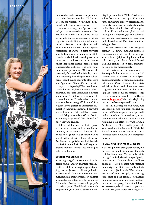

rahvusvahelistele ettevõtetele personali otsinud värbamisspetsialist. CV-Online'i järel tuli aga riigisektori kogemus - koolitusjuhi koht siseministeeriumis.

Kaheaastane kogemus õpetas Kairele seda, et riigiasutus ei ole tema teema: "Kui erasektoris tehakse asju selleks, et see on kasulik, siis riigisektoris sageli asjade tegemise pärast." Kui koolitusjuhina tuli tal tellida koolitusi mitte vajadusest, vaid selleks, et nüüd on raha üle või leppida süsteemiga, et kuskil on asjad tutvuste alusel juba otsustatud, sinna juurde täita ohtralt tabeleid, hakkas see lõpuks terve mõistuse ja õiglustunde peale. Pärast sellist kogemust kaalus naine hoopis lektoriametit ülikoolis, siis aga tuligi Proeksperdi pakkumine. "Nemad otsisid personalijuhti äsja loodud kohale ja mina ilma personalijuhitöö kogemuseta sobisin neile," räägib naine töösuhte algusest ja koos õppimisest. "Suur rõõm oli erarektoris tagasi olla ja pealegi IT-firmas, kus on nutikad inimesed, hea huumor ja vahetu õhkkond," on Kaire veendunud ühisosas leiutajausku IT-töötajate ja enda vahel. Ta on veendunud, et IT valdkond on viimasel kümnendil suuri arenguid läbi teinud. Patsiga nn kapitagustest asjaarmastaja tüüpidest on saanud intelligentsed, avatud ja lahedad inimesed. "See valdkond on cool ja tõmbab ligi lahedaid noori," sõnab mitu aastat karjääripäevadel "Võti Tulevikku" noori värvanud naine.

Selles valdkonnas on Kaire jaoks suurim väärtus see, et hästi oluline on inimene, mitte tema roll. Inimesi tuleb erilise hoolega kohelda, siis sünnivad ka silmale nähtavad väärtuslikud tulemused. Avaliku sektoriga Kaire lõplikult kontakti siiski kaotanud ei ole, vaid tegutseb aastaid põhitöö kõrvalt psühholoogina politseivaldkonnas.

### VIISSADA TÖÖINTERVJUUD

Kaire algusaegade missiooniks Proeksperdis saigi peamiselt talentide värbamine. Seda ei tehtud kunagi range süsteemi järgi, kui välja arvata isiksus- ja intelligentsustestid. "Püüame intervjuul luua meeleolu, mis meil tavapäraselt valitseb ja vaadata, kas intervjueeritav sobib siia õhkkonda. Lõõbime omavahel ega püüa olla teistsugused. Kandidaadi jaoks ei ole see piinapink, vaid võrdne läbirääkimine,"

räägib personalijuht. Tööle võetakse see, kellele firma sobib ja vastupidi. Vaid mõnel juhul on tekkinud intervjueeritavaga tugev vastuseis ja seegi on värbajate arvates indikatiivne. Näiteks ei võeta Proeksperti tööle usaldamatuid inimesi, küll aga võib intervjuule tulla pitsaga ja selle eelnevalt ära süüa kööginurgas, nagu on korra Kaire praktikas juhtunud. Töö sai see kandidaat sellegipoolest.

Avatud värbamine kajastab Proeksperdi olemust täielikult. "Anname inimesele usalduskrediidi. Meil ei ole nii, et algul kontrollime ja jälgime ning kui usalduse välja teenib, siis alles saab kõik hüved. Eeldame, et inimesed on head, ehkki mõne jaoks on see mõistetamatu."

Kahtlustamine ja usaldamatus Proeksperdi kultuuri ei sobi, on 500 tööintervjuud ettevõttes läbi viinud ja sadakond inimest tööle värvanud naine kindel Juba seetõttu et firmas ei lukustata sahtleid, ühisraha võib olla suures kassas ja igaühel on kontorisse ööl kui päeval ligipääs. Kaire sõnul on märgiks seegi, et täpsus ja ausus on selles ettevõttes au sees, et *Ampstopis?* alati raha klapib ning mingeid probleeme pole tekkinud.

Ametlik katseaeg on neli kuud, kuid Proeksperdis üks kuu, mille jooksul inimene end tõestama peab. Kui sel perioodil midagi juhtub, saab ta veel aega, et end paremuse suunas lihvida. Uue töötaja käe hoidmine ei ole ettevõttes väga levinud. "Viskame vette, üle ei hoolitse ja kui hakkama saad, siis järelikult sobid," kirjeldab Kaire firma mõtteviisi, "samas on siinsed inimesed sõbralikud, kui uuel töötajal abi on vaja."

### LUMIVALGEKE JA SEITSE PÖIALPOISSI

Kaire räägib oma praegusest rollist, mis on välja kasvanud värbamisest töötajate eest hoolitsemiseni. Viskan nalja, et ta on nagu Lumivalgeke seitsme pöialpoisiga muinasjutust. Ta möönab, et võrdluses on iva sees, kord oli isegi juht vastanud huumoriga, kui Kaire uute väljakutsete ja ülesannete järele uuris: "Kas inimesed armastavad sind? Kui jah, siis see ongi kõik, mida sa pead tegema." Armastuse hoidmine seisneb aga avatud kultuuri hoidmises, mis polegi Kaire sõnul lihtne, kui ettevõte pidevalt kasvab ja personal uueneb. Praegu vaadatakse üle kogu ette-